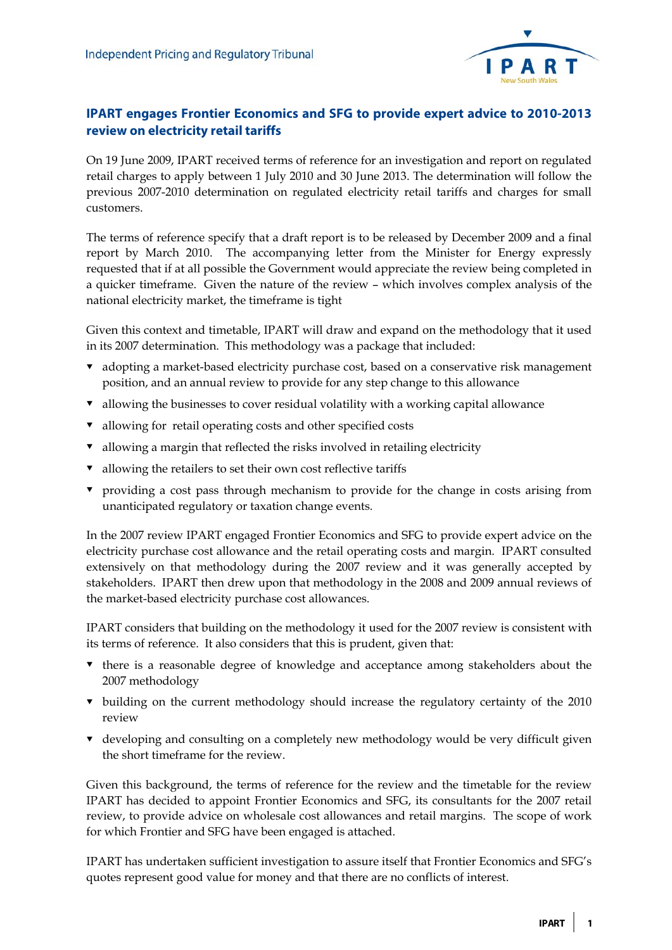

## **IPART engages Frontier Economics and SFG to provide expert advice to 2010-2013 review on electricity retail tariffs**

On 19 June 2009, IPART received terms of reference for an investigation and report on regulated retail charges to apply between 1 July 2010 and 30 June 2013. The determination will follow the previous 2007-2010 determination on regulated electricity retail tariffs and charges for small customers.

The terms of reference specify that a draft report is to be released by December 2009 and a final report by March 2010. The accompanying letter from the Minister for Energy expressly requested that if at all possible the Government would appreciate the review being completed in a quicker timeframe. Given the nature of the review – which involves complex analysis of the national electricity market, the timeframe is tight

Given this context and timetable, IPART will draw and expand on the methodology that it used in its 2007 determination. This methodology was a package that included:

- adopting a market-based electricity purchase cost, based on a conservative risk management position, and an annual review to provide for any step change to this allowance
- $\bullet$  allowing the businesses to cover residual volatility with a working capital allowance
- $\bullet$  allowing for retail operating costs and other specified costs
- allowing a margin that reflected the risks involved in retailing electricity
- $\bullet$  allowing the retailers to set their own cost reflective tariffs
- providing a cost pass through mechanism to provide for the change in costs arising from unanticipated regulatory or taxation change events.

In the 2007 review IPART engaged Frontier Economics and SFG to provide expert advice on the electricity purchase cost allowance and the retail operating costs and margin. IPART consulted extensively on that methodology during the 2007 review and it was generally accepted by stakeholders. IPART then drew upon that methodology in the 2008 and 2009 annual reviews of the market-based electricity purchase cost allowances.

IPART considers that building on the methodology it used for the 2007 review is consistent with its terms of reference. It also considers that this is prudent, given that:

- there is a reasonable degree of knowledge and acceptance among stakeholders about the 2007 methodology
- building on the current methodology should increase the regulatory certainty of the 2010 review
- developing and consulting on a completely new methodology would be very difficult given the short timeframe for the review.

Given this background, the terms of reference for the review and the timetable for the review IPART has decided to appoint Frontier Economics and SFG, its consultants for the 2007 retail review, to provide advice on wholesale cost allowances and retail margins. The scope of work for which Frontier and SFG have been engaged is attached.

IPART has undertaken sufficient investigation to assure itself that Frontier Economics and SFG's quotes represent good value for money and that there are no conflicts of interest.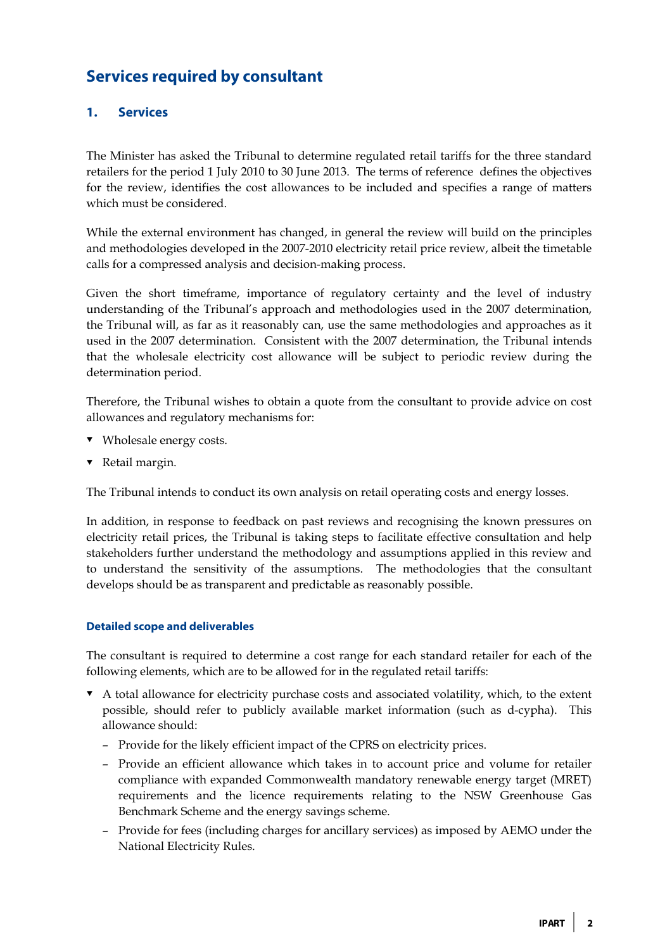# **Services required by consultant**

### **1. Services**

The Minister has asked the Tribunal to determine regulated retail tariffs for the three standard retailers for the period 1 July 2010 to 30 June 2013. The terms of reference defines the objectives for the review, identifies the cost allowances to be included and specifies a range of matters which must be considered.

While the external environment has changed, in general the review will build on the principles and methodologies developed in the 2007-2010 electricity retail price review, albeit the timetable calls for a compressed analysis and decision-making process.

Given the short timeframe, importance of regulatory certainty and the level of industry understanding of the Tribunal's approach and methodologies used in the 2007 determination, the Tribunal will, as far as it reasonably can, use the same methodologies and approaches as it used in the 2007 determination. Consistent with the 2007 determination, the Tribunal intends that the wholesale electricity cost allowance will be subject to periodic review during the determination period.

Therefore, the Tribunal wishes to obtain a quote from the consultant to provide advice on cost allowances and regulatory mechanisms for:

- Wholesale energy costs.
- Retail margin.

The Tribunal intends to conduct its own analysis on retail operating costs and energy losses.

In addition, in response to feedback on past reviews and recognising the known pressures on electricity retail prices, the Tribunal is taking steps to facilitate effective consultation and help stakeholders further understand the methodology and assumptions applied in this review and to understand the sensitivity of the assumptions. The methodologies that the consultant develops should be as transparent and predictable as reasonably possible.

#### **Detailed scope and deliverables**

The consultant is required to determine a cost range for each standard retailer for each of the following elements, which are to be allowed for in the regulated retail tariffs:

- A total allowance for electricity purchase costs and associated volatility, which, to the extent possible, should refer to publicly available market information (such as d-cypha). This allowance should:
	- Provide for the likely efficient impact of the CPRS on electricity prices.
	- Provide an efficient allowance which takes in to account price and volume for retailer compliance with expanded Commonwealth mandatory renewable energy target (MRET) requirements and the licence requirements relating to the NSW Greenhouse Gas Benchmark Scheme and the energy savings scheme.
	- Provide for fees (including charges for ancillary services) as imposed by AEMO under the National Electricity Rules.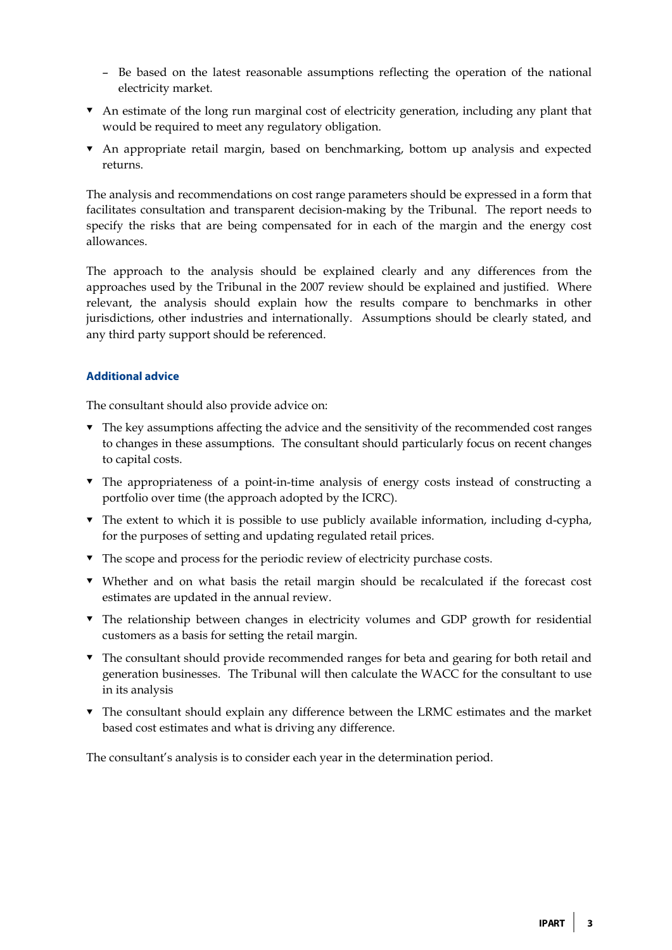- Be based on the latest reasonable assumptions reflecting the operation of the national electricity market.
- An estimate of the long run marginal cost of electricity generation, including any plant that would be required to meet any regulatory obligation.
- An appropriate retail margin, based on benchmarking, bottom up analysis and expected returns.

The analysis and recommendations on cost range parameters should be expressed in a form that facilitates consultation and transparent decision-making by the Tribunal. The report needs to specify the risks that are being compensated for in each of the margin and the energy cost allowances.

The approach to the analysis should be explained clearly and any differences from the approaches used by the Tribunal in the 2007 review should be explained and justified. Where relevant, the analysis should explain how the results compare to benchmarks in other jurisdictions, other industries and internationally. Assumptions should be clearly stated, and any third party support should be referenced.

#### **Additional advice**

The consultant should also provide advice on:

- $\blacktriangledown$  The key assumptions affecting the advice and the sensitivity of the recommended cost ranges to changes in these assumptions. The consultant should particularly focus on recent changes to capital costs.
- The appropriateness of a point-in-time analysis of energy costs instead of constructing a portfolio over time (the approach adopted by the ICRC).
- The extent to which it is possible to use publicly available information, including d-cypha, for the purposes of setting and updating regulated retail prices.
- The scope and process for the periodic review of electricity purchase costs.
- Whether and on what basis the retail margin should be recalculated if the forecast cost estimates are updated in the annual review.
- The relationship between changes in electricity volumes and GDP growth for residential customers as a basis for setting the retail margin.
- The consultant should provide recommended ranges for beta and gearing for both retail and generation businesses. The Tribunal will then calculate the WACC for the consultant to use in its analysis
- The consultant should explain any difference between the LRMC estimates and the market based cost estimates and what is driving any difference.

The consultant's analysis is to consider each year in the determination period.